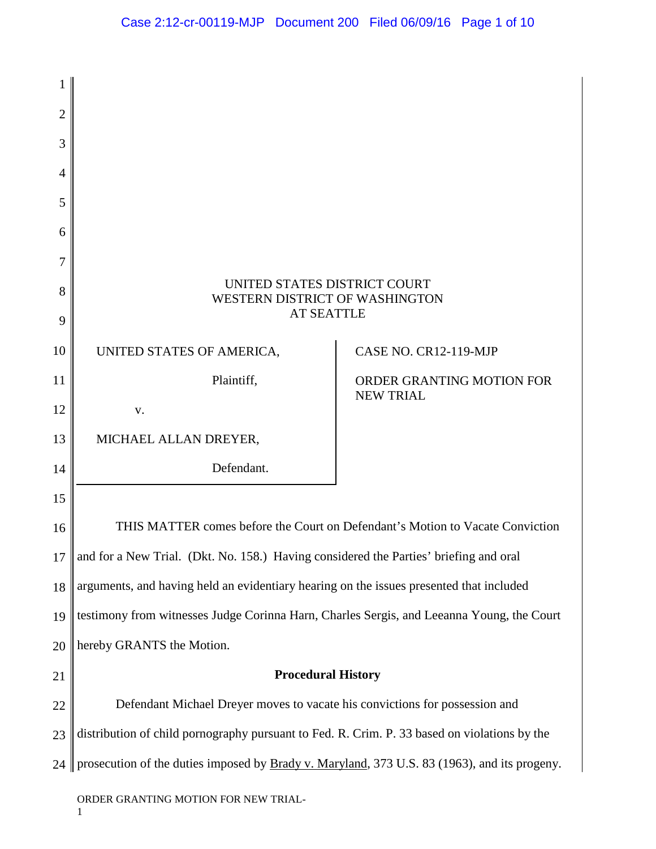| $\overline{2}$ |                                                                                                      |                                                                               |
|----------------|------------------------------------------------------------------------------------------------------|-------------------------------------------------------------------------------|
| 3              |                                                                                                      |                                                                               |
| $\overline{4}$ |                                                                                                      |                                                                               |
| 5              |                                                                                                      |                                                                               |
| 6              |                                                                                                      |                                                                               |
| 7              |                                                                                                      |                                                                               |
| 8              | UNITED STATES DISTRICT COURT<br>WESTERN DISTRICT OF WASHINGTON                                       |                                                                               |
| 9              | <b>AT SEATTLE</b>                                                                                    |                                                                               |
| 10             | UNITED STATES OF AMERICA,                                                                            | CASE NO. CR12-119-MJP                                                         |
| 11             | Plaintiff,                                                                                           | ORDER GRANTING MOTION FOR                                                     |
| 12             | V.                                                                                                   | <b>NEW TRIAL</b>                                                              |
| 13             | MICHAEL ALLAN DREYER,                                                                                |                                                                               |
| 14             | Defendant.                                                                                           |                                                                               |
| 15             |                                                                                                      |                                                                               |
| 16             |                                                                                                      | THIS MATTER comes before the Court on Defendant's Motion to Vacate Conviction |
| 17             | and for a New Trial. (Dkt. No. 158.) Having considered the Parties' briefing and oral                |                                                                               |
| 18             | arguments, and having held an evidentiary hearing on the issues presented that included              |                                                                               |
| 19             | testimony from witnesses Judge Corinna Harn, Charles Sergis, and Leeanna Young, the Court            |                                                                               |
| 20             | hereby GRANTS the Motion.                                                                            |                                                                               |
| 21             | <b>Procedural History</b>                                                                            |                                                                               |
| 22             | Defendant Michael Dreyer moves to vacate his convictions for possession and                          |                                                                               |
| 23             | distribution of child pornography pursuant to Fed. R. Crim. P. 33 based on violations by the         |                                                                               |
| 24             | prosecution of the duties imposed by <b>Brady v. Maryland</b> , 373 U.S. 83 (1963), and its progeny. |                                                                               |
|                |                                                                                                      |                                                                               |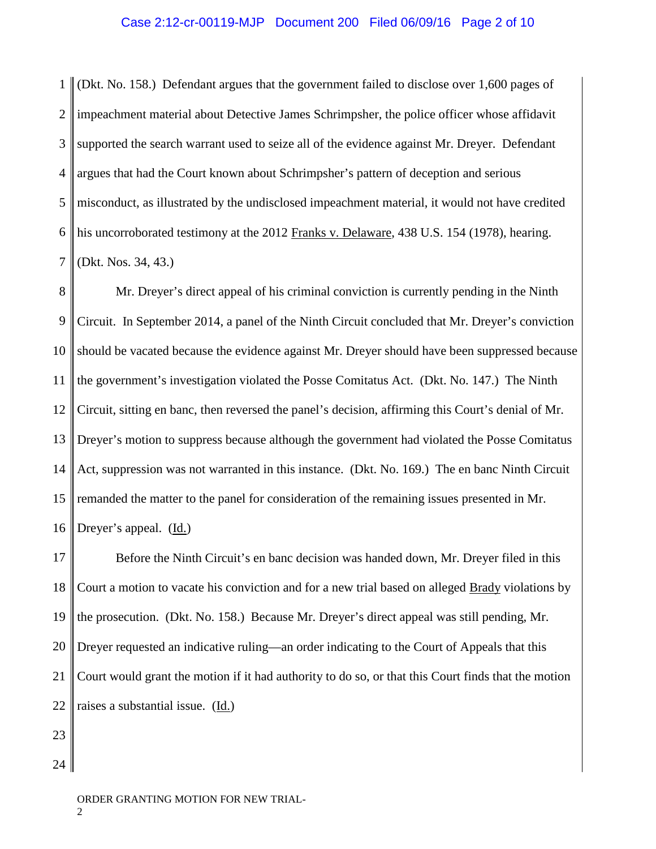#### Case 2:12-cr-00119-MJP Document 200 Filed 06/09/16 Page 2 of 10

1 2 3 4 5 6 7 (Dkt. No. 158.) Defendant argues that the government failed to disclose over 1,600 pages of impeachment material about Detective James Schrimpsher, the police officer whose affidavit supported the search warrant used to seize all of the evidence against Mr. Dreyer. Defendant argues that had the Court known about Schrimpsher's pattern of deception and serious misconduct, as illustrated by the undisclosed impeachment material, it would not have credited his uncorroborated testimony at the 2012 Franks v. Delaware, 438 U.S. 154 (1978), hearing. (Dkt. Nos. 34, 43.)

8 9 10 11 12 13 14 15 16 Mr. Dreyer's direct appeal of his criminal conviction is currently pending in the Ninth Circuit. In September 2014, a panel of the Ninth Circuit concluded that Mr. Dreyer's conviction should be vacated because the evidence against Mr. Dreyer should have been suppressed because the government's investigation violated the Posse Comitatus Act. (Dkt. No. 147.) The Ninth Circuit, sitting en banc, then reversed the panel's decision, affirming this Court's denial of Mr. Dreyer's motion to suppress because although the government had violated the Posse Comitatus Act, suppression was not warranted in this instance. (Dkt. No. 169.) The en banc Ninth Circuit remanded the matter to the panel for consideration of the remaining issues presented in Mr. Dreyer's appeal. (Id.)

17 18 19 20 21 22 Before the Ninth Circuit's en banc decision was handed down, Mr. Dreyer filed in this Court a motion to vacate his conviction and for a new trial based on alleged Brady violations by the prosecution. (Dkt. No. 158.) Because Mr. Dreyer's direct appeal was still pending, Mr. Dreyer requested an indicative ruling—an order indicating to the Court of Appeals that this Court would grant the motion if it had authority to do so, or that this Court finds that the motion raises a substantial issue. (Id.)

- 23
- 24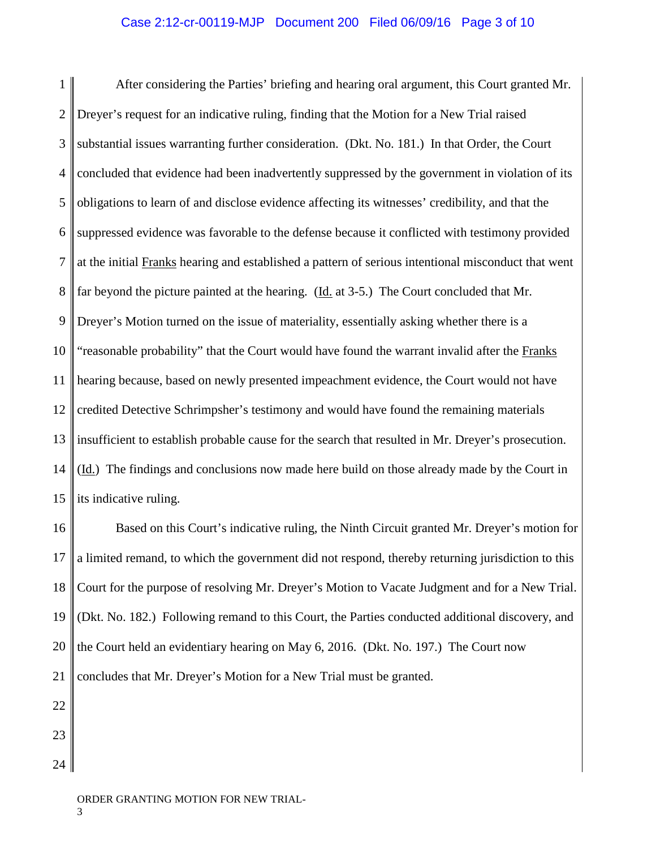1 2 3 4 5 6 7 8 9 10 11 12 13 14 15 After considering the Parties' briefing and hearing oral argument, this Court granted Mr. Dreyer's request for an indicative ruling, finding that the Motion for a New Trial raised substantial issues warranting further consideration. (Dkt. No. 181.) In that Order, the Court concluded that evidence had been inadvertently suppressed by the government in violation of its obligations to learn of and disclose evidence affecting its witnesses' credibility, and that the suppressed evidence was favorable to the defense because it conflicted with testimony provided at the initial Franks hearing and established a pattern of serious intentional misconduct that went far beyond the picture painted at the hearing. ( $\underline{Id}$ , at 3-5.) The Court concluded that Mr. Dreyer's Motion turned on the issue of materiality, essentially asking whether there is a "reasonable probability" that the Court would have found the warrant invalid after the Franks hearing because, based on newly presented impeachment evidence, the Court would not have credited Detective Schrimpsher's testimony and would have found the remaining materials insufficient to establish probable cause for the search that resulted in Mr. Dreyer's prosecution. (Id.) The findings and conclusions now made here build on those already made by the Court in its indicative ruling.

16 17 18 19 20 21 Based on this Court's indicative ruling, the Ninth Circuit granted Mr. Dreyer's motion for a limited remand, to which the government did not respond, thereby returning jurisdiction to this Court for the purpose of resolving Mr. Dreyer's Motion to Vacate Judgment and for a New Trial. (Dkt. No. 182.) Following remand to this Court, the Parties conducted additional discovery, and the Court held an evidentiary hearing on May 6, 2016. (Dkt. No. 197.) The Court now concludes that Mr. Dreyer's Motion for a New Trial must be granted.

22 23 24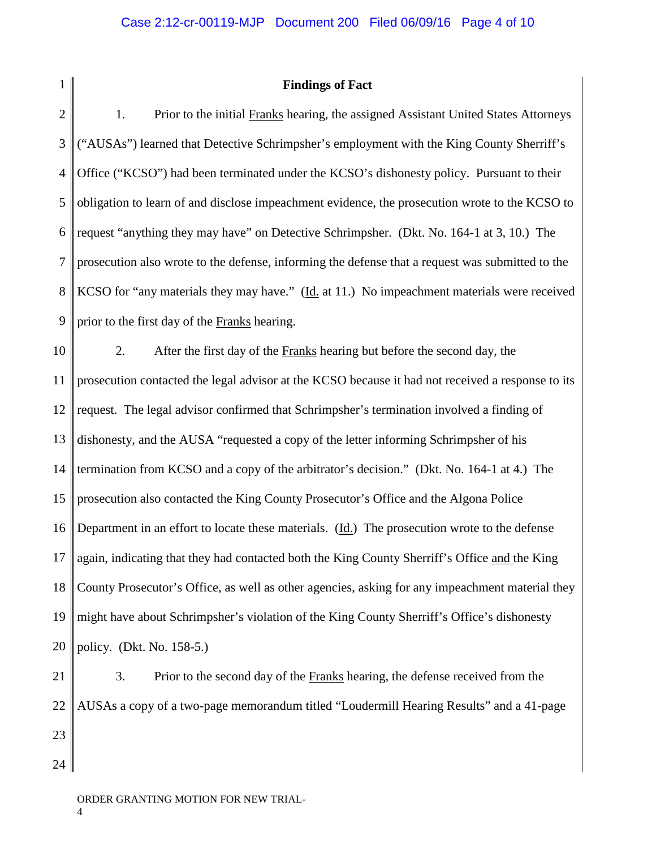2

1

## **Findings of Fact**

3 4 5 6 7 8 9 1. Prior to the initial Franks hearing, the assigned Assistant United States Attorneys ("AUSAs") learned that Detective Schrimpsher's employment with the King County Sherriff's Office ("KCSO") had been terminated under the KCSO's dishonesty policy. Pursuant to their obligation to learn of and disclose impeachment evidence, the prosecution wrote to the KCSO to request "anything they may have" on Detective Schrimpsher. (Dkt. No. 164-1 at 3, 10.) The prosecution also wrote to the defense, informing the defense that a request was submitted to the KCSO for "any materials they may have." (Id. at 11.) No impeachment materials were received prior to the first day of the Franks hearing.

10 11 12 13 14 15 16 17 18 19 20 2. After the first day of the Franks hearing but before the second day, the prosecution contacted the legal advisor at the KCSO because it had not received a response to its request. The legal advisor confirmed that Schrimpsher's termination involved a finding of dishonesty, and the AUSA "requested a copy of the letter informing Schrimpsher of his termination from KCSO and a copy of the arbitrator's decision." (Dkt. No. 164-1 at 4.) The prosecution also contacted the King County Prosecutor's Office and the Algona Police Department in an effort to locate these materials. (Id.) The prosecution wrote to the defense again, indicating that they had contacted both the King County Sherriff's Office and the King County Prosecutor's Office, as well as other agencies, asking for any impeachment material they might have about Schrimpsher's violation of the King County Sherriff's Office's dishonesty policy. (Dkt. No. 158-5.)

21 22 23 24 3. Prior to the second day of the Franks hearing, the defense received from the AUSAs a copy of a two-page memorandum titled "Loudermill Hearing Results" and a 41-page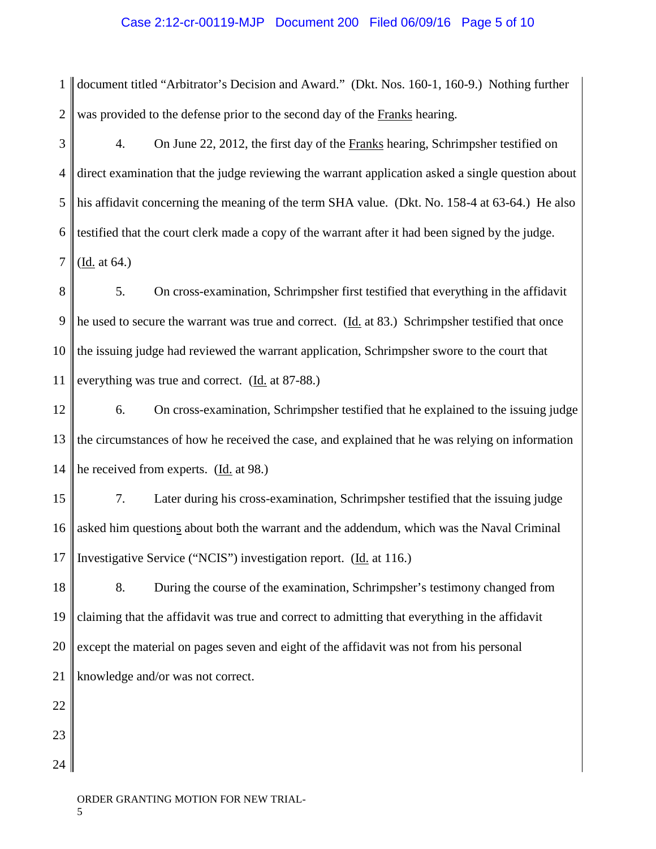## Case 2:12-cr-00119-MJP Document 200 Filed 06/09/16 Page 5 of 10

1 2 document titled "Arbitrator's Decision and Award." (Dkt. Nos. 160-1, 160-9.) Nothing further was provided to the defense prior to the second day of the Franks hearing.

3 4 5 6 7 4. On June 22, 2012, the first day of the Franks hearing, Schrimpsher testified on direct examination that the judge reviewing the warrant application asked a single question about his affidavit concerning the meaning of the term SHA value. (Dkt. No. 158-4 at 63-64.) He also testified that the court clerk made a copy of the warrant after it had been signed by the judge. (Id. at 64.)

8 9 10 11 5. On cross-examination, Schrimpsher first testified that everything in the affidavit he used to secure the warrant was true and correct. (Id. at 83.) Schrimpsher testified that once the issuing judge had reviewed the warrant application, Schrimpsher swore to the court that everything was true and correct. (Id. at 87-88.)

12 13 14 6. On cross-examination, Schrimpsher testified that he explained to the issuing judge the circumstances of how he received the case, and explained that he was relying on information he received from experts. (Id. at 98.)

15 16 17 7. Later during his cross-examination, Schrimpsher testified that the issuing judge asked him questions about both the warrant and the addendum, which was the Naval Criminal Investigative Service ("NCIS") investigation report. (Id. at 116.)

18 19 20 21 8. During the course of the examination, Schrimpsher's testimony changed from claiming that the affidavit was true and correct to admitting that everything in the affidavit except the material on pages seven and eight of the affidavit was not from his personal knowledge and/or was not correct.

22 23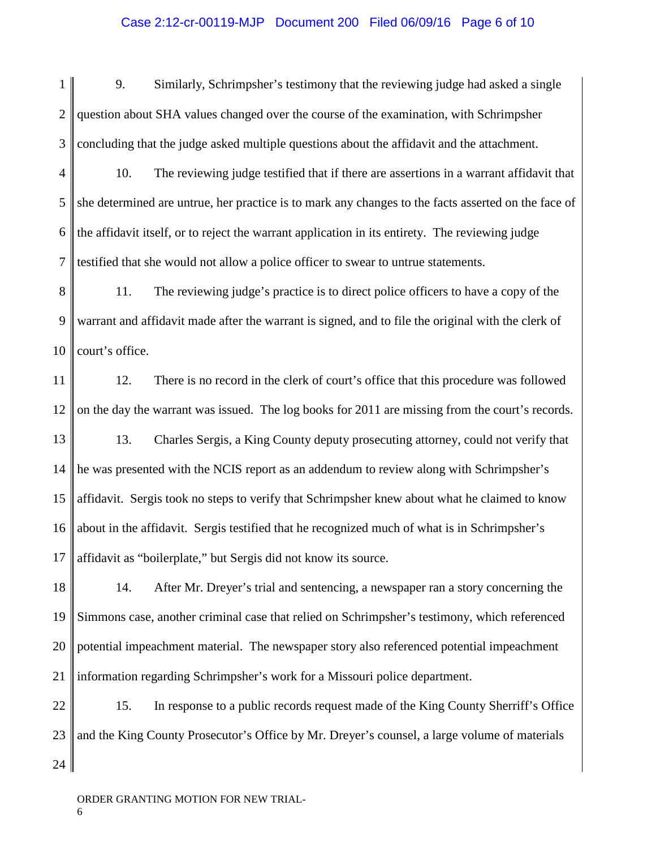# Case 2:12-cr-00119-MJP Document 200 Filed 06/09/16 Page 6 of 10

- 1 2 3 9. Similarly, Schrimpsher's testimony that the reviewing judge had asked a single question about SHA values changed over the course of the examination, with Schrimpsher concluding that the judge asked multiple questions about the affidavit and the attachment.
- 4 5 6 7 10. The reviewing judge testified that if there are assertions in a warrant affidavit that she determined are untrue, her practice is to mark any changes to the facts asserted on the face of the affidavit itself, or to reject the warrant application in its entirety. The reviewing judge testified that she would not allow a police officer to swear to untrue statements.
- 8 9 10 11. The reviewing judge's practice is to direct police officers to have a copy of the warrant and affidavit made after the warrant is signed, and to file the original with the clerk of court's office.
- 11 12 13 14 15 16 17 12. There is no record in the clerk of court's office that this procedure was followed on the day the warrant was issued. The log books for 2011 are missing from the court's records. 13. Charles Sergis, a King County deputy prosecuting attorney, could not verify that he was presented with the NCIS report as an addendum to review along with Schrimpsher's affidavit. Sergis took no steps to verify that Schrimpsher knew about what he claimed to know about in the affidavit. Sergis testified that he recognized much of what is in Schrimpsher's affidavit as "boilerplate," but Sergis did not know its source.
- 18 19 20 21 14. After Mr. Dreyer's trial and sentencing, a newspaper ran a story concerning the Simmons case, another criminal case that relied on Schrimpsher's testimony, which referenced potential impeachment material. The newspaper story also referenced potential impeachment information regarding Schrimpsher's work for a Missouri police department.
- 22 23 24 15. In response to a public records request made of the King County Sherriff's Office and the King County Prosecutor's Office by Mr. Dreyer's counsel, a large volume of materials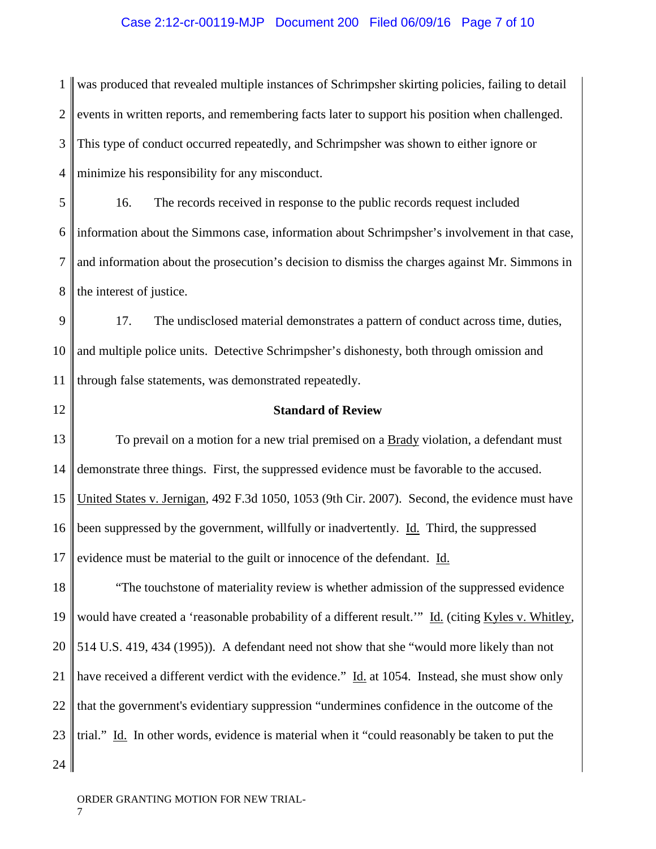### Case 2:12-cr-00119-MJP Document 200 Filed 06/09/16 Page 7 of 10

1 2 3 4 was produced that revealed multiple instances of Schrimpsher skirting policies, failing to detail events in written reports, and remembering facts later to support his position when challenged. This type of conduct occurred repeatedly, and Schrimpsher was shown to either ignore or minimize his responsibility for any misconduct.

5 6 7 8 16. The records received in response to the public records request included information about the Simmons case, information about Schrimpsher's involvement in that case, and information about the prosecution's decision to dismiss the charges against Mr. Simmons in the interest of justice.

9 10 11 17. The undisclosed material demonstrates a pattern of conduct across time, duties, and multiple police units. Detective Schrimpsher's dishonesty, both through omission and through false statements, was demonstrated repeatedly.

12

# **Standard of Review**

13 14 15 16 17 To prevail on a motion for a new trial premised on a **Brady** violation, a defendant must demonstrate three things. First, the suppressed evidence must be favorable to the accused. United States v. Jernigan, 492 F.3d 1050, 1053 (9th Cir. 2007). Second, the evidence must have been suppressed by the government, willfully or inadvertently. Id. Third, the suppressed evidence must be material to the guilt or innocence of the defendant. Id.

18 19 20 21 22 23 24 "The touchstone of materiality review is whether admission of the suppressed evidence would have created a 'reasonable probability of a different result.'" Id. (citing Kyles v. Whitley, 514 U.S. 419, 434 (1995)). A defendant need not show that she "would more likely than not have received a different verdict with the evidence." Id. at 1054. Instead, she must show only that the government's evidentiary suppression "undermines confidence in the outcome of the trial." Id. In other words, evidence is material when it "could reasonably be taken to put the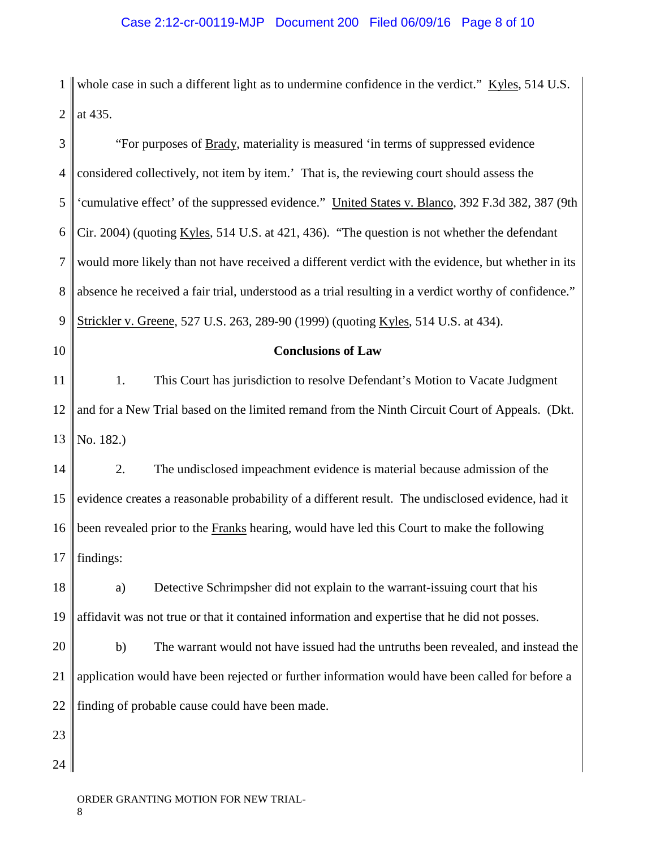1 whole case in such a different light as to undermine confidence in the verdict."  $Kyles$ , 514 U.S.  $2 \parallel$  at 435.

| 3              | "For purposes of Brady, materiality is measured 'in terms of suppressed evidence                      |
|----------------|-------------------------------------------------------------------------------------------------------|
| $\overline{4}$ | considered collectively, not item by item.' That is, the reviewing court should assess the            |
| 5              | 'cumulative effect' of the suppressed evidence." United States v. Blanco, 392 F.3d 382, 387 (9th      |
| 6              | Cir. 2004) (quoting Kyles, 514 U.S. at 421, 436). "The question is not whether the defendant          |
| $\tau$         | would more likely than not have received a different verdict with the evidence, but whether in its    |
| 8              | absence he received a fair trial, understood as a trial resulting in a verdict worthy of confidence." |
| 9              | Strickler v. Greene, 527 U.S. 263, 289-90 (1999) (quoting Kyles, 514 U.S. at 434).                    |
| 10             | <b>Conclusions of Law</b>                                                                             |
| 11             | This Court has jurisdiction to resolve Defendant's Motion to Vacate Judgment<br>1.                    |
| 12             | and for a New Trial based on the limited remand from the Ninth Circuit Court of Appeals. (Dkt.        |
| 13             | No. 182.)                                                                                             |
| 14             | 2.<br>The undisclosed impeachment evidence is material because admission of the                       |
| 15             | evidence creates a reasonable probability of a different result. The undisclosed evidence, had it     |
| 16             | been revealed prior to the Franks hearing, would have led this Court to make the following            |
| 17             | findings:                                                                                             |
| 18             | Detective Schrimpsher did not explain to the warrant-issuing court that his<br>a)                     |
| 19             | affidavit was not true or that it contained information and expertise that he did not posses.         |
| 20             | The warrant would not have issued had the untruths been revealed, and instead the<br>b)               |
| 21             | application would have been rejected or further information would have been called for before a       |
| 22             | finding of probable cause could have been made.                                                       |
| 23             |                                                                                                       |
| 24             |                                                                                                       |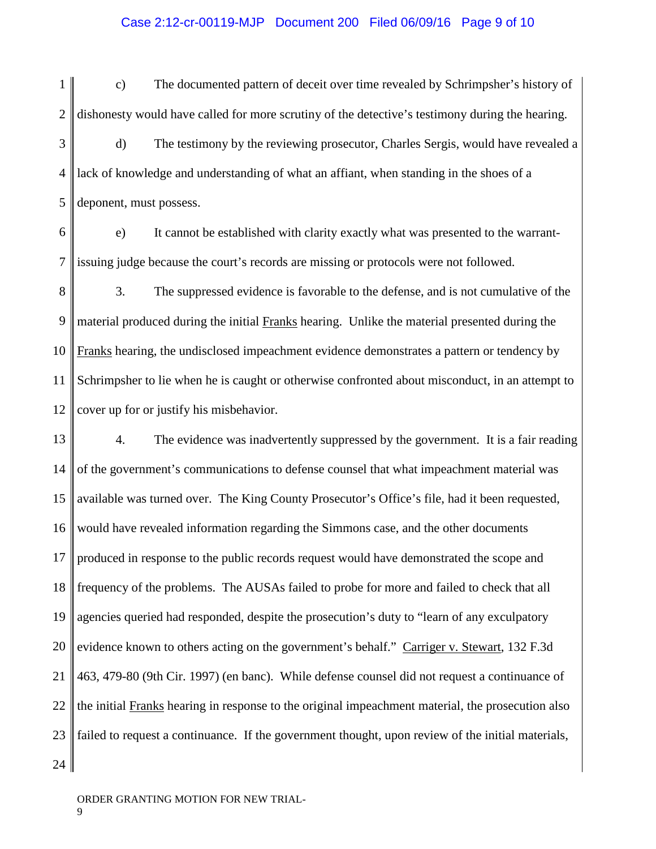## Case 2:12-cr-00119-MJP Document 200 Filed 06/09/16 Page 9 of 10

1 2 3 4 5 c) The documented pattern of deceit over time revealed by Schrimpsher's history of dishonesty would have called for more scrutiny of the detective's testimony during the hearing. d) The testimony by the reviewing prosecutor, Charles Sergis, would have revealed a lack of knowledge and understanding of what an affiant, when standing in the shoes of a deponent, must possess.

6 7 e) It cannot be established with clarity exactly what was presented to the warrantissuing judge because the court's records are missing or protocols were not followed.

8 9 10 11 12 3. The suppressed evidence is favorable to the defense, and is not cumulative of the material produced during the initial Franks hearing. Unlike the material presented during the Franks hearing, the undisclosed impeachment evidence demonstrates a pattern or tendency by Schrimpsher to lie when he is caught or otherwise confronted about misconduct, in an attempt to cover up for or justify his misbehavior.

13 14 15 16 17 18 19 20 21 22 23 24 4. The evidence was inadvertently suppressed by the government. It is a fair reading of the government's communications to defense counsel that what impeachment material was available was turned over. The King County Prosecutor's Office's file, had it been requested, would have revealed information regarding the Simmons case, and the other documents produced in response to the public records request would have demonstrated the scope and frequency of the problems. The AUSAs failed to probe for more and failed to check that all agencies queried had responded, despite the prosecution's duty to "learn of any exculpatory evidence known to others acting on the government's behalf." Carriger v. Stewart, 132 F.3d 463, 479-80 (9th Cir. 1997) (en banc). While defense counsel did not request a continuance of the initial Franks hearing in response to the original impeachment material, the prosecution also failed to request a continuance. If the government thought, upon review of the initial materials,